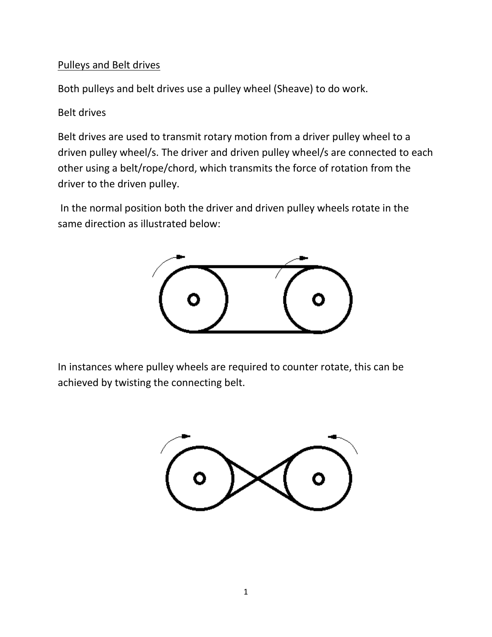## Pulleys and Belt drives

Both pulleys and belt drives use a pulley wheel (Sheave) to do work.

## Belt drives

Belt drives are used to transmit rotary motion from a driver pulley wheel to a driven pulley wheel/s. The driver and driven pulley wheel/s are connected to each other using a belt/rope/chord, which transmits the force of rotation from the driver to the driven pulley.

In the normal position both the driver and driven pulley wheels rotate in the same direction as illustrated below:



In instances where pulley wheels are required to counter rotate, this can be achieved by twisting the connecting belt.

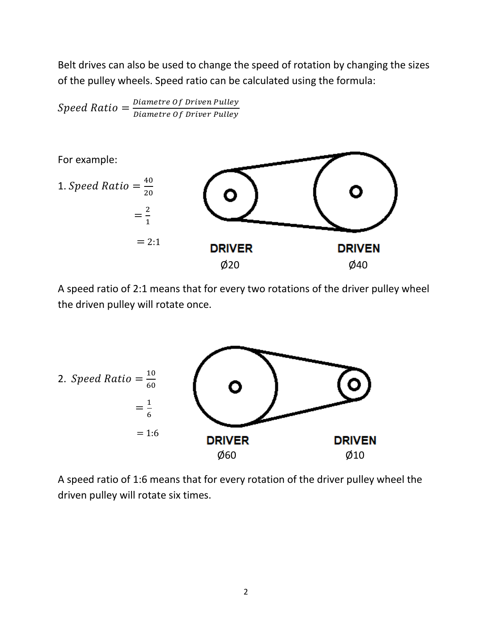Belt drives can also be used to change the speed of rotation by changing the sizes of the pulley wheels. Speed ratio can be calculated using the formula:

 $Speed Ratio = \frac{Diameter\ Of\ Driven\ Pulley}{Dism\ at\ 2.6\ Drif.}$ Diametre Of Driver Pulley



A speed ratio of 2:1 means that for every two rotations of the driver pulley wheel the driven pulley will rotate once.



A speed ratio of 1:6 means that for every rotation of the driver pulley wheel the driven pulley will rotate six times.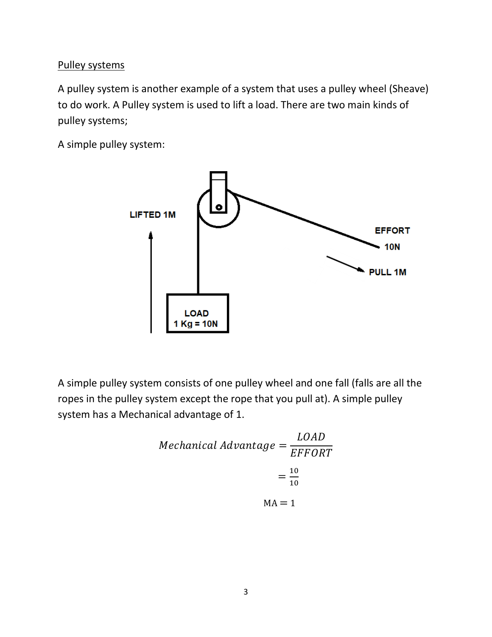## Pulley systems

A pulley system is another example of a system that uses a pulley wheel (Sheave) to do work. A Pulley system is used to lift a load. There are two main kinds of pulley systems;

A simple pulley system:



A simple pulley system consists of one pulley wheel and one fall (falls are all the ropes in the pulley system except the rope that you pull at). A simple pulley system has a Mechanical advantage of 1.

*Mechanical Advantage* = 
$$
\frac{LOAD}{EFFORT}
$$

$$
= \frac{10}{10}
$$

$$
MA = 1
$$